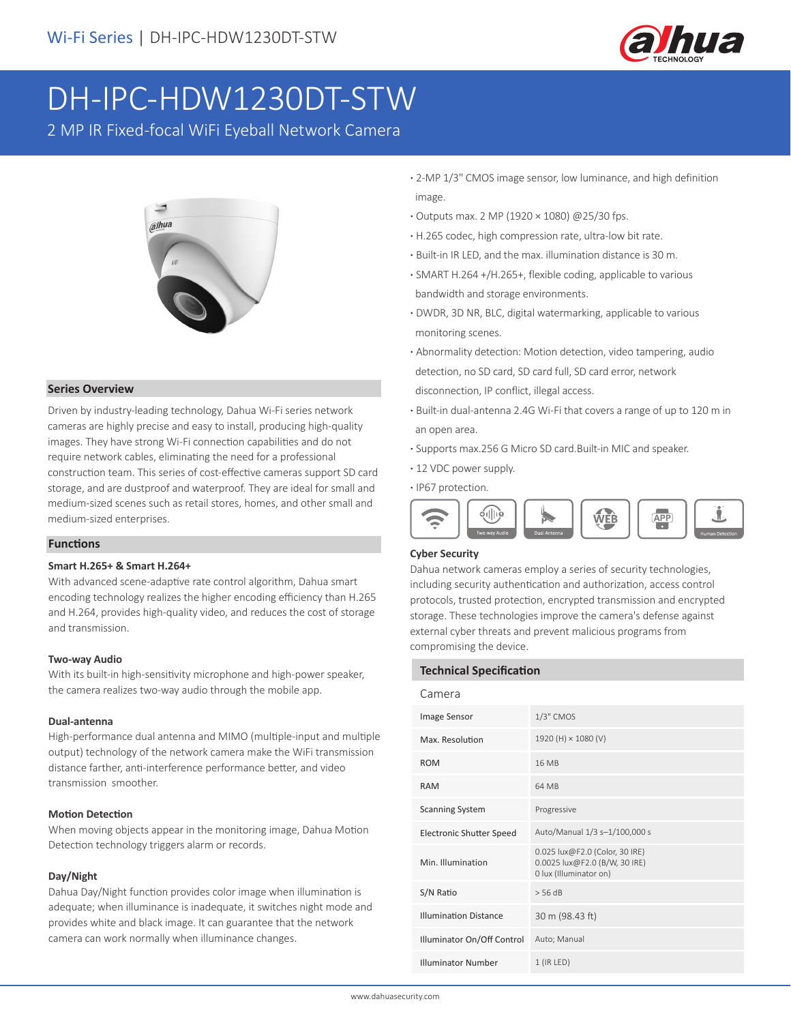

# DH-IPC-HDW1230DT-STW

2 MP IR Fixed-focal WiFi Eyeball Network Camera



## **Series Overview**

Driven by industry-leading technology, Dahua Wi-Fi series network cameras are highly precise and easy to install, producing high-quality images. They have strong Wi-Fi connection capabilities and do not require network cables, eliminating the need for a professional construction team. This series of cost-effective cameras support SD card storage, and are dustproof and waterproof. They are ideal for small and medium-sized scenes such as retail stores, homes, and other small and medium-sized enterprises.

## **Functions**

#### **Smart H.265+ & Smart H.264+**

With advanced scene-adaptive rate control algorithm, Dahua smart encoding technology realizes the higher encoding efficiency than H.265 and H.264, provides high-quality video, and reduces the cost of storage and transmission.

#### **Two-way Audio**

With its built-in high-sensitivity microphone and high-power speaker, the camera realizes two-way audio through the mobile app.

#### **Dual-antenna**

High-performance dual antenna and MIMO (multiple-input and multiple output) technology of the network camera make the WiFi transmission distance farther, anti-interference performance better, and video transmission smoother.

#### **Motion Detection**

When moving objects appear in the monitoring image, Dahua Motion Detection technology triggers alarm or records.

#### **Day/Night**

Dahua Day/Night function provides color image when illumination is adequate; when illuminance is inadequate, it switches night mode and provides white and black image. It can guarantee that the network camera can work normally when illuminance changes.

- **·** 2-MP 1/3" CMOS image sensor, low luminance, and high definition image.
- **·** Outputs max. 2 MP (1920 × 1080) @25/30 fps.
- **·** H.265 codec, high compression rate, ultra-low bit rate.
- **·** Built-in IR LED, and the max. illumination distance is 30 m.
- **·** SMART H.264 +/H.265+, flexible coding, applicable to various bandwidth and storage environments.
- **·** DWDR, 3D NR, BLC, digital watermarking, applicable to various monitoring scenes.
- **·** Abnormality detection: Motion detection, video tampering, audio detection, no SD card, SD card full, SD card error, network disconnection, IP conflict, illegal access.
- **·** Built-in dual-antenna 2.4G Wi-Fi that covers a range of up to 120 m in an open area.
- **·** Supports max.256 G Micro SD card.Built-in MIC and speaker.
- **·** 12 VDC power supply.
- **·** IP67 protection.



#### **Cyber Security**

Dahua network cameras employ a series of security technologies, including security authentication and authorization, access control protocols, trusted protection, encrypted transmission and encrypted storage. These technologies improve the camera's defense against external cyber threats and prevent malicious programs from compromising the device.

#### **Technical Specification**

| Camera                          |                                                                                           |
|---------------------------------|-------------------------------------------------------------------------------------------|
| Image Sensor                    | $1/3$ " CMOS                                                                              |
| Max. Resolution                 | 1920 (H) × 1080 (V)                                                                       |
| <b>ROM</b>                      | 16 MB                                                                                     |
| <b>RAM</b>                      | 64 MB                                                                                     |
| <b>Scanning System</b>          | Progressive                                                                               |
| <b>Electronic Shutter Speed</b> | Auto/Manual 1/3 s-1/100,000 s                                                             |
| Min. Illumination               | 0.025 lux@F2.0 (Color, 30 IRE)<br>0.0025 lux@F2.0 (B/W, 30 IRE)<br>0 lux (Illuminator on) |
| S/N Ratio                       | $>$ 56 dB                                                                                 |
| <b>Illumination Distance</b>    | 30 m (98.43 ft)                                                                           |
| Illuminator On/Off Control      | Auto; Manual                                                                              |
| <b>Illuminator Number</b>       | $1$ (IR LED)                                                                              |
|                                 |                                                                                           |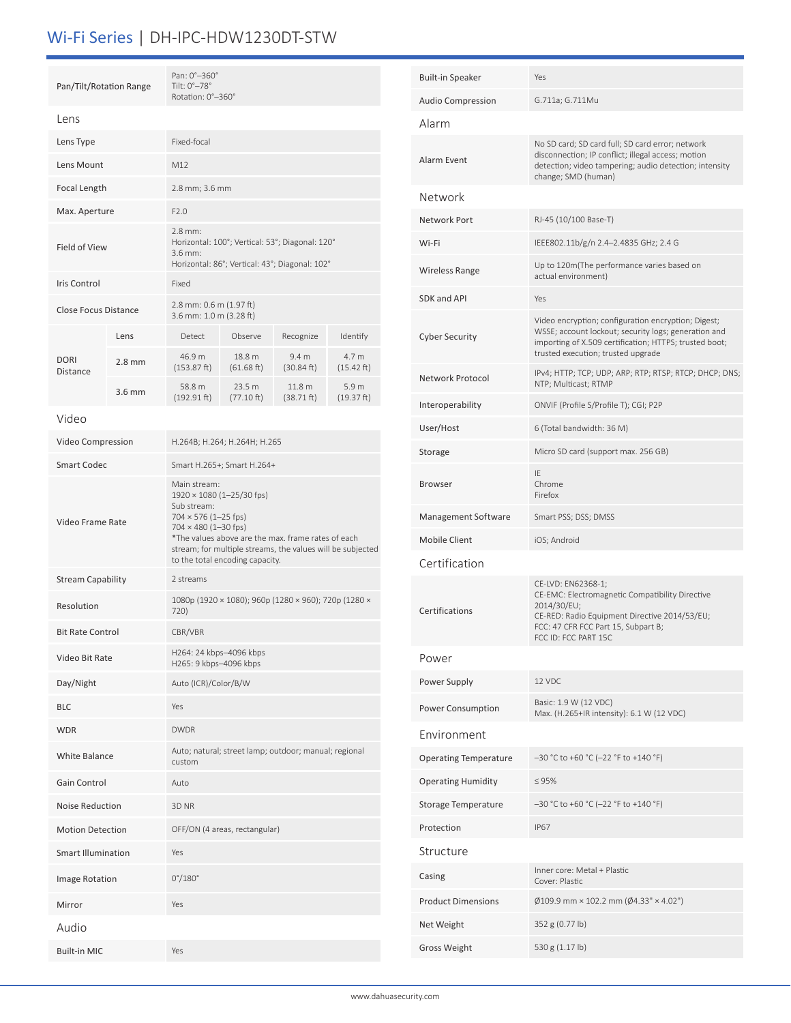# Wi-Fi Series | DH-IPC-HDW1230DT-STW

|                             | Pan/Tilt/Rotation Range                                  |                                                                                                                                                                                                                                                                        | Pan: 0°-360°<br>Tilt: $0^\circ - 78^\circ$<br>Rotation: 0°-360° |                                                       |                                |  |
|-----------------------------|----------------------------------------------------------|------------------------------------------------------------------------------------------------------------------------------------------------------------------------------------------------------------------------------------------------------------------------|-----------------------------------------------------------------|-------------------------------------------------------|--------------------------------|--|
| Lens                        |                                                          |                                                                                                                                                                                                                                                                        |                                                                 |                                                       |                                |  |
| Lens Type                   |                                                          | Fixed-focal                                                                                                                                                                                                                                                            |                                                                 |                                                       |                                |  |
| Lens Mount                  | M12                                                      |                                                                                                                                                                                                                                                                        |                                                                 |                                                       |                                |  |
|                             | Focal Length                                             |                                                                                                                                                                                                                                                                        | 2.8 mm; 3.6 mm                                                  |                                                       |                                |  |
| Max. Aperture               |                                                          | F2.0                                                                                                                                                                                                                                                                   |                                                                 |                                                       |                                |  |
| Field of View               |                                                          | $2.8$ mm:<br>Horizontal: 100°; Vertical: 53°; Diagonal: 120°<br>3.6 mm:<br>Horizontal: 86°; Vertical: 43°; Diagonal: 102°                                                                                                                                              |                                                                 |                                                       |                                |  |
| Iris Control                |                                                          | Fixed                                                                                                                                                                                                                                                                  |                                                                 |                                                       |                                |  |
| <b>Close Focus Distance</b> |                                                          | 2.8 mm: 0.6 m (1.97 ft)<br>3.6 mm: 1.0 m (3.28 ft)                                                                                                                                                                                                                     |                                                                 |                                                       |                                |  |
|                             | Lens                                                     | Detect                                                                                                                                                                                                                                                                 | Observe                                                         | Recognize                                             | Identify                       |  |
| <b>DORI</b><br>Distance     | $2.8$ mm                                                 | 46.9 m<br>(153.87 ft)                                                                                                                                                                                                                                                  | 18.8 m<br>(61.68 ft)                                            | 9.4 <sub>m</sub><br>(30.84 ft)                        | 4.7 m<br>$(15.42 \text{ ft})$  |  |
|                             | $3.6$ mm                                                 | 58.8 m<br>(192.91 ft)                                                                                                                                                                                                                                                  | 23.5 m<br>(77.10 ft)                                            | 11.8 <sub>m</sub><br>(38.71 ft)                       | 5.9 <sub>m</sub><br>(19.37 ft) |  |
| Video                       |                                                          |                                                                                                                                                                                                                                                                        |                                                                 |                                                       |                                |  |
| Video Compression           |                                                          | H.264B; H.264; H.264H; H.265                                                                                                                                                                                                                                           |                                                                 |                                                       |                                |  |
| <b>Smart Codec</b>          |                                                          | Smart H.265+; Smart H.264+                                                                                                                                                                                                                                             |                                                                 |                                                       |                                |  |
| Video Frame Rate            |                                                          | Main stream:<br>1920 × 1080 (1-25/30 fps)<br>Sub stream:<br>$704 \times 576$ (1-25 fps)<br>704 × 480 (1-30 fps)<br>*The values above are the max. frame rates of each<br>stream; for multiple streams, the values will be subjected<br>to the total encoding capacity. |                                                                 |                                                       |                                |  |
| <b>Stream Capability</b>    |                                                          | 2 streams                                                                                                                                                                                                                                                              |                                                                 |                                                       |                                |  |
| Resolution                  |                                                          | 1080p (1920 × 1080); 960p (1280 × 960); 720p (1280 ×<br>720)                                                                                                                                                                                                           |                                                                 |                                                       |                                |  |
| <b>Bit Rate Control</b>     |                                                          | CBR/VBR                                                                                                                                                                                                                                                                |                                                                 |                                                       |                                |  |
| Video Bit Rate              |                                                          | H264: 24 kbps–4096 kbps<br>H265: 9 kbps-4096 kbps                                                                                                                                                                                                                      |                                                                 |                                                       |                                |  |
| Day/Night                   |                                                          | Auto (ICR)/Color/B/W                                                                                                                                                                                                                                                   |                                                                 |                                                       |                                |  |
| <b>BLC</b>                  |                                                          | Yes                                                                                                                                                                                                                                                                    |                                                                 |                                                       |                                |  |
| <b>WDR</b>                  |                                                          | <b>DWDR</b>                                                                                                                                                                                                                                                            |                                                                 |                                                       |                                |  |
| <b>White Balance</b>        |                                                          | custom                                                                                                                                                                                                                                                                 |                                                                 | Auto; natural; street lamp; outdoor; manual; regional |                                |  |
| Gain Control                | Auto                                                     |                                                                                                                                                                                                                                                                        |                                                                 |                                                       |                                |  |
| <b>Noise Reduction</b>      |                                                          | 3D NR                                                                                                                                                                                                                                                                  |                                                                 |                                                       |                                |  |
|                             | <b>Motion Detection</b><br>OFF/ON (4 areas, rectangular) |                                                                                                                                                                                                                                                                        |                                                                 |                                                       |                                |  |
| <b>Smart Illumination</b>   |                                                          | Yes                                                                                                                                                                                                                                                                    |                                                                 |                                                       |                                |  |
|                             | $0^{\circ}/180^{\circ}$<br>Image Rotation                |                                                                                                                                                                                                                                                                        |                                                                 |                                                       |                                |  |
| Mirror                      |                                                          | Yes                                                                                                                                                                                                                                                                    |                                                                 |                                                       |                                |  |
| Audio                       |                                                          |                                                                                                                                                                                                                                                                        |                                                                 |                                                       |                                |  |
| <b>Built-in MIC</b>         |                                                          | Yes                                                                                                                                                                                                                                                                    |                                                                 |                                                       |                                |  |

| <b>Built-in Speaker</b>      | Yes                                                                                                                                                                                                         |
|------------------------------|-------------------------------------------------------------------------------------------------------------------------------------------------------------------------------------------------------------|
| Audio Compression            | G.711a; G.711Mu                                                                                                                                                                                             |
| Alarm                        |                                                                                                                                                                                                             |
| Alarm Event                  | No SD card; SD card full; SD card error; network<br>disconnection; IP conflict; illegal access; motion<br>detection; video tampering; audio detection; intensity<br>change; SMD (human)                     |
| Network                      |                                                                                                                                                                                                             |
| Network Port                 | RJ-45 (10/100 Base-T)                                                                                                                                                                                       |
| Wi-Fi                        | IEEE802.11b/g/n 2.4-2.4835 GHz; 2.4 G                                                                                                                                                                       |
| Wireless Range               | Up to 120m(The performance varies based on<br>actual environment)                                                                                                                                           |
| <b>SDK and API</b>           | Yes                                                                                                                                                                                                         |
| Cyber Security               | Video encryption; configuration encryption; Digest;<br>WSSE; account lockout; security logs; generation and<br>importing of X.509 certification; HTTPS; trusted boot;<br>trusted execution; trusted upgrade |
| Network Protocol             | IPv4; HTTP; TCP; UDP; ARP; RTP; RTSP; RTCP; DHCP; DNS;<br>NTP; Multicast; RTMP                                                                                                                              |
| Interoperability             | ONVIF (Profile S/Profile T); CGI; P2P                                                                                                                                                                       |
| User/Host                    | 6 (Total bandwidth: 36 M)                                                                                                                                                                                   |
| Storage                      | Micro SD card (support max. 256 GB)                                                                                                                                                                         |
| <b>Browser</b>               | IE<br>Chrome<br>Firefox                                                                                                                                                                                     |
| Management Software          | Smart PSS; DSS; DMSS                                                                                                                                                                                        |
| <b>Mobile Client</b>         | iOS; Android                                                                                                                                                                                                |
| Certification                |                                                                                                                                                                                                             |
| Certifications               | CE-LVD: EN62368-1;<br>CE-EMC: Electromagnetic Compatibility Directive<br>2014/30/EU;<br>CE-RED: Radio Equipment Directive 2014/53/EU;<br>FCC: 47 CFR FCC Part 15, Subpart B;<br>FCC ID: FCC PART 15C        |
| Power                        |                                                                                                                                                                                                             |
| Power Supply                 | 12 VDC                                                                                                                                                                                                      |
| Power Consumption            | Basic: 1.9 W (12 VDC)<br>Max. (H.265+IR intensity): 6.1 W (12 VDC)                                                                                                                                          |
| Environment                  |                                                                                                                                                                                                             |
| <b>Operating Temperature</b> | -30 °C to +60 °C (-22 °F to +140 °F)                                                                                                                                                                        |
| <b>Operating Humidity</b>    | $\leq 95\%$                                                                                                                                                                                                 |
| Storage Temperature          | -30 °C to +60 °C (-22 °F to +140 °F)                                                                                                                                                                        |
| Protection                   | <b>IP67</b>                                                                                                                                                                                                 |
| Structure                    |                                                                                                                                                                                                             |
| Casing                       | Inner core: Metal + Plastic<br>Cover: Plastic                                                                                                                                                               |
| <b>Product Dimensions</b>    | $\emptyset$ 109.9 mm × 102.2 mm ( $\emptyset$ 4.33" × 4.02")                                                                                                                                                |
| Net Weight                   | 352 g (0.77 lb)                                                                                                                                                                                             |
| <b>Gross Weight</b>          | 530 g (1.17 lb)                                                                                                                                                                                             |